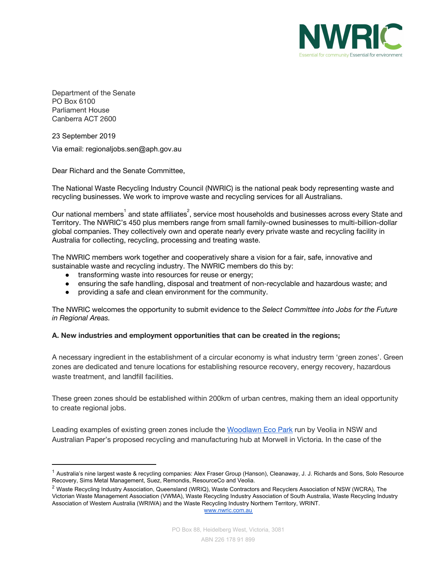

Department of the Senate PO Box 6100 Parliament House Canberra ACT 2600

23 September 2019

Via email: regionaljobs.sen@aph.gov.au

Dear Richard and the Senate Committee,

The National Waste Recycling Industry Council (NWRIC) is the national peak body representing waste and recycling businesses. We work to improve waste and recycling services for all Australians.

Our national members $^{\rm 1}$  and state affiliates $^{\rm 2}$ , service most households and businesses across every State and Territory. The NWRIC's 450 plus members range from small family-owned businesses to multi-billion-dollar global companies. They collectively own and operate nearly every private waste and recycling facility in Australia for collecting, recycling, processing and treating waste.

The NWRIC members work together and cooperatively share a vision for a fair, safe, innovative and sustainable waste and recycling industry. The NWRIC members do this by:

- **●** transforming waste into resources for reuse or energy;
- **●** ensuring the safe handling, disposal and treatment of non-recyclable and hazardous waste; and
- **●** providing a safe and clean environment for the community.

The NWRIC welcomes the opportunity to submit evidence to the *Select Committee into Jobs for the Future in Regional Areas.*

### **A. New industries and employment opportunities that can be created in the regions;**

A necessary ingredient in the establishment of a circular economy is what industry term 'green zones'. Green zones are dedicated and tenure locations for establishing resource recovery, energy recovery, hazardous waste treatment, and landfill facilities.

These green zones should be established within 200km of urban centres, making them an ideal opportunity to create regional jobs.

Leading examples of existing green zones include the [Woodlawn](https://www.veolia.com/anz/our-services/our-facilities/landfills/woodlawn-bioreactor-facility) Eco Park run by Veolia in NSW and Australian Paper's proposed recycling and manufacturing hub at Morwell in Victoria. In the case of the

<sup>&</sup>lt;sup>1</sup> Australia's nine largest waste & recycling companies: Alex Fraser Group (Hanson), Cleanaway, J. J. Richards and Sons, Solo Resource Recovery, Sims Metal Management, Suez, Remondis, ResourceCo and Veolia.

<sup>&</sup>lt;sup>2</sup> Waste Recycling Industry Association, Queensland (WRIQ), Waste Contractors and Recyclers Association of NSW (WCRA), The Victorian Waste Management Association (VWMA), Waste Recycling Industry Association of South Australia, Waste Recycling Industry Association of Western Australia (WRIWA) and the Waste Recycling Industry Northern Territory, WRINT. [www.nwric.com.au](http://www.nwric.com.au/)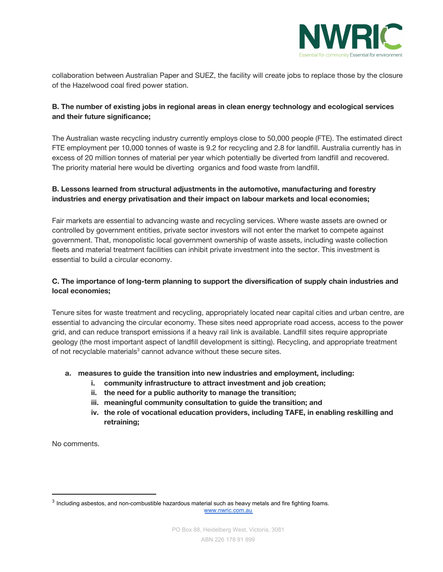

collaboration between Australian Paper and SUEZ, the facility will create jobs to replace those by the closure of the Hazelwood coal fired power station.

## **B. The number of existing jobs in regional areas in clean energy technology and ecological services and their future significance;**

The Australian waste recycling industry currently employs close to 50,000 people (FTE). The estimated direct FTE employment per 10,000 tonnes of waste is 9.2 for recycling and 2.8 for landfill. Australia currently has in excess of 20 million tonnes of material per year which potentially be diverted from landfill and recovered. The priority material here would be diverting organics and food waste from landfill.

## **B. Lessons learned from structural adjustments in the automotive, manufacturing and forestry industries and energy privatisation and their impact on labour markets and local economies;**

Fair markets are essential to advancing waste and recycling services. Where waste assets are owned or controlled by government entities, private sector investors will not enter the market to compete against government. That, monopolistic local government ownership of waste assets, including waste collection fleets and material treatment facilities can inhibit private investment into the sector. This investment is essential to build a circular economy.

# **C. The importance of long-term planning to support the diversification of supply chain industries and local economies;**

Tenure sites for waste treatment and recycling, appropriately located near capital cities and urban centre, are essential to advancing the circular economy. These sites need appropriate road access, access to the power grid, and can reduce transport emissions if a heavy rail link is available. Landfill sites require appropriate geology (the most important aspect of landfill development is sitting). Recycling, and appropriate treatment of not recyclable materials<sup>3</sup> cannot advance without these secure sites.

### **a. measures to guide the transition into new industries and employment, including:**

- **i. community infrastructure to attract investment and job creation;**
- **ii. the need for a public authority to manage the transition;**
- **iii. meaningful community consultation to guide the transition; and**
- **iv. the role of vocational education providers, including TAFE, in enabling reskilling and retraining;**

No comments.

 $3$  Including asbestos, and non-combustible hazardous material such as heavy metals and fire fighting foams. [www.nwric.com.au](http://www.nwric.com.au/)